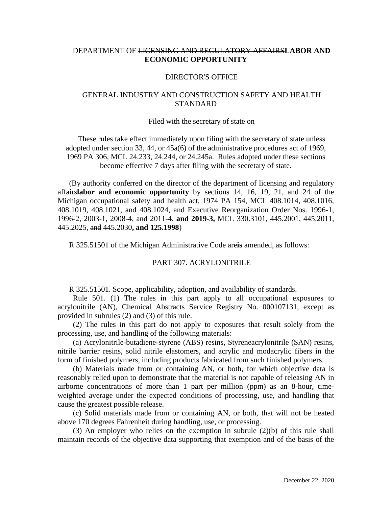# DEPARTMENT OF LICENSING AND REGULATORY AFFAIRS**LABOR AND ECONOMIC OPPORTUNITY**

## DIRECTOR'S OFFICE

# GENERAL INDUSTRY AND CONSTRUCTION SAFETY AND HEALTH **STANDARD**

#### Filed with the secretary of state on

These rules take effect immediately upon filing with the secretary of state unless adopted under section 33, 44, or 45a(6) of the administrative procedures act of 1969, 1969 PA 306, MCL 24.233, 24.244, or 24.245a. Rules adopted under these sections become effective 7 days after filing with the secretary of state.

(By authority conferred on the director of the department of licensing and regulatory affairs**labor and economic opportunity** by sections 14, 16, 19, 21, and 24 of the Michigan occupational safety and health act, 1974 PA 154, MCL 408.1014, 408.1016, 408.1019, 408.1021, and 408.1024, and Executive Reorganization Order Nos. 1996-1, 1996-2, 2003-1, 2008-4, and 2011-4, **and 2019-3,** MCL 330.3101, 445.2001, 445.2011, 445.2025, and 445.2030**, and 125.1998**)

R 325.51501 of the Michigan Administrative Code are**is** amended, as follows:

## PART 307. ACRYLONITRILE

R 325.51501. Scope, applicability, adoption, and availability of standards.

 Rule 501. (1) The rules in this part apply to all occupational exposures to acrylonitrile (AN), Chemical Abstracts Service Registry No. 000107131, except as provided in subrules (2) and (3) of this rule.

 (2) The rules in this part do not apply to exposures that result solely from the processing, use, and handling of the following materials:

 (a) Acrylonitrile-butadiene-styrene (ABS) resins, Styreneacrylonitrile (SAN) resins, nitrile barrier resins, solid nitrile elastomers, and acrylic and modacrylic fibers in the form of finished polymers, including products fabricated from such finished polymers.

 (b) Materials made from or containing AN, or both, for which objective data is reasonably relied upon to demonstrate that the material is not capable of releasing AN in airborne concentrations of more than 1 part per million (ppm) as an 8-hour, timeweighted average under the expected conditions of processing, use, and handling that cause the greatest possible release.

 (c) Solid materials made from or containing AN, or both, that will not be heated above 170 degrees Fahrenheit during handling, use, or processing.

(3) An employer who relies on the exemption in subrule (2)(b) of this rule shall maintain records of the objective data supporting that exemption and of the basis of the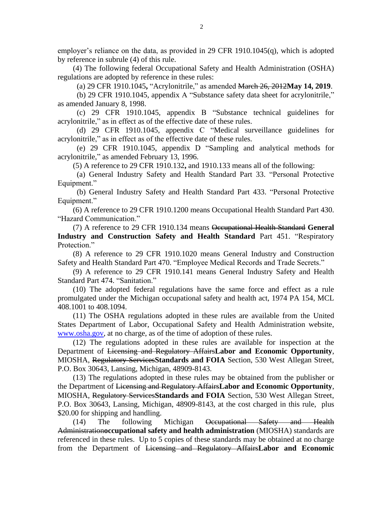employer's reliance on the data, as provided in 29 CFR 1910.1045(q), which is adopted by reference in subrule (4) of this rule.

 (4) The following federal Occupational Safety and Health Administration (OSHA) regulations are adopted by reference in these rules:

(a) 29 CFR 1910.1045**,** "Acrylonitrile," as amended March 26, 2012**May 14, 2019**.

 (b) 29 CFR 1910.1045, appendix A "Substance safety data sheet for acrylonitrile," as amended January 8, 1998.

 (c) 29 CFR 1910.1045, appendix B "Substance technical guidelines for acrylonitrile," as in effect as of the effective date of these rules.

 (d) 29 CFR 1910.1045, appendix C "Medical surveillance guidelines for acrylonitrile," as in effect as of the effective date of these rules.

 (e) 29 CFR 1910.1045, appendix D "Sampling and analytical methods for acrylonitrile," as amended February 13, 1996.

(5) A reference to 29 CFR 1910.132**,** and 1910.133 means all of the following:

 (a) General Industry Safety and Health Standard Part 33. "Personal Protective Equipment."

 (b) General Industry Safety and Health Standard Part 433. "Personal Protective Equipment."

 (6) A reference to 29 CFR 1910.1200 means Occupational Health Standard Part 430. "Hazard Communication."

 (7) A reference to 29 CFR 1910.134 means Occupational Health Standard **General Industry and Construction Safety and Health Standard** Part 451. "Respiratory Protection."

 (8) A reference to 29 CFR 1910.1020 means General Industry and Construction Safety and Health Standard Part 470. "Employee Medical Records and Trade Secrets."

 (9) A reference to 29 CFR 1910.141 means General Industry Safety and Health Standard Part 474. "Sanitation."

 (10) The adopted federal regulations have the same force and effect as a rule promulgated under the Michigan occupational safety and health act, 1974 PA 154, MCL 408.1001 to 408.1094.

 (11) The OSHA regulations adopted in these rules are available from the United States Department of Labor, Occupational Safety and Health Administration website, [www.osha.gov,](http://www.osha.gov/) at no charge, as of the time of adoption of these rules.

 (12) The regulations adopted in these rules are available for inspection at the Department of Licensing and Regulatory Affairs**Labor and Economic Opportunity**, MIOSHA, Regulatory Services**Standards and FOIA** Section, 530 West Allegan Street, P.O. Box 30643, Lansing, Michigan, 48909-8143.

(13) The regulations adopted in these rules may be obtained from the publisher or the Department of Licensing and Regulatory Affairs**Labor and Economic Opportunity**, MIOSHA, Regulatory Services**Standards and FOIA** Section, 530 West Allegan Street, P.O. Box 30643, Lansing, Michigan, 48909-8143, at the cost charged in this rule, plus \$20.00 for shipping and handling.

(14) The following Michigan <del>Occupational Safety and Health</del> Administration**occupational safety and health administration** (MIOSHA) standards are referenced in these rules. Up to 5 copies of these standards may be obtained at no charge from the Department of Licensing and Regulatory Affairs**Labor and Economic**